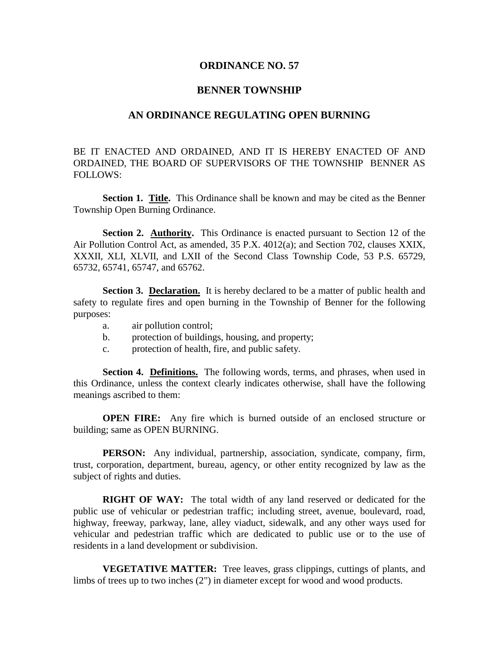## **ORDINANCE NO. 57**

## **BENNER TOWNSHIP**

## **AN ORDINANCE REGULATING OPEN BURNING**

BE IT ENACTED AND ORDAINED, AND IT IS HEREBY ENACTED OF AND ORDAINED, THE BOARD OF SUPERVISORS OF THE TOWNSHIP BENNER AS FOLLOWS:

**Section 1. Title.** This Ordinance shall be known and may be cited as the Benner Township Open Burning Ordinance.

**Section 2. Authority.** This Ordinance is enacted pursuant to Section 12 of the Air Pollution Control Act, as amended, 35 P.X. 4012(a); and Section 702, clauses XXIX, XXXII, XLI, XLVII, and LXII of the Second Class Township Code, 53 P.S. 65729, 65732, 65741, 65747, and 65762.

**Section 3. Declaration.** It is hereby declared to be a matter of public health and safety to regulate fires and open burning in the Township of Benner for the following purposes:

- a. air pollution control;
- b. protection of buildings, housing, and property;
- c. protection of health, fire, and public safety.

**Section 4. Definitions.** The following words, terms, and phrases, when used in this Ordinance, unless the context clearly indicates otherwise, shall have the following meanings ascribed to them:

**OPEN FIRE:** Any fire which is burned outside of an enclosed structure or building; same as OPEN BURNING.

**PERSON:** Any individual, partnership, association, syndicate, company, firm, trust, corporation, department, bureau, agency, or other entity recognized by law as the subject of rights and duties.

**RIGHT OF WAY:** The total width of any land reserved or dedicated for the public use of vehicular or pedestrian traffic; including street, avenue, boulevard, road, highway, freeway, parkway, lane, alley viaduct, sidewalk, and any other ways used for vehicular and pedestrian traffic which are dedicated to public use or to the use of residents in a land development or subdivision.

**VEGETATIVE MATTER:** Tree leaves, grass clippings, cuttings of plants, and limbs of trees up to two inches (2") in diameter except for wood and wood products.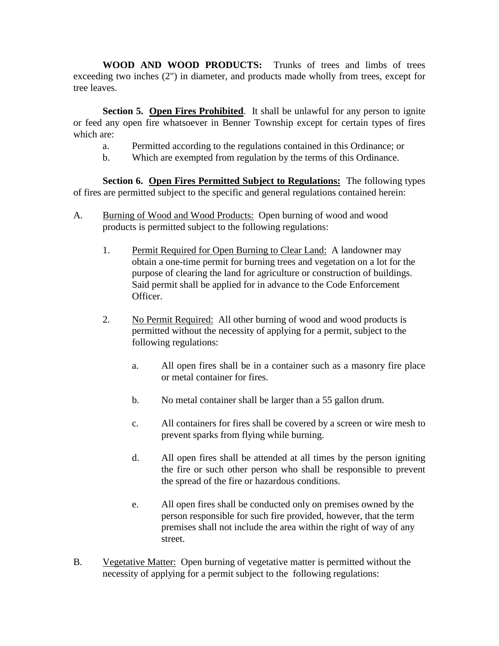**WOOD AND WOOD PRODUCTS:** Trunks of trees and limbs of trees exceeding two inches (2") in diameter, and products made wholly from trees, except for tree leaves.

**Section 5. Open Fires Prohibited**. It shall be unlawful for any person to ignite or feed any open fire whatsoever in Benner Township except for certain types of fires which are:

- a. Permitted according to the regulations contained in this Ordinance; or
- b. Which are exempted from regulation by the terms of this Ordinance.

**Section 6. Open Fires Permitted Subject to Regulations:** The following types of fires are permitted subject to the specific and general regulations contained herein:

- A. Burning of Wood and Wood Products: Open burning of wood and wood products is permitted subject to the following regulations:
	- 1. Permit Required for Open Burning to Clear Land: A landowner may obtain a one-time permit for burning trees and vegetation on a lot for the purpose of clearing the land for agriculture or construction of buildings. Said permit shall be applied for in advance to the Code Enforcement Officer.
	- 2. No Permit Required: All other burning of wood and wood products is permitted without the necessity of applying for a permit, subject to the following regulations:
		- a. All open fires shall be in a container such as a masonry fire place or metal container for fires.
		- b. No metal container shall be larger than a 55 gallon drum.
		- c. All containers for fires shall be covered by a screen or wire mesh to prevent sparks from flying while burning.
		- d. All open fires shall be attended at all times by the person igniting the fire or such other person who shall be responsible to prevent the spread of the fire or hazardous conditions.
		- e. All open fires shall be conducted only on premises owned by the person responsible for such fire provided, however, that the term premises shall not include the area within the right of way of any street.
- B. Vegetative Matter: Open burning of vegetative matter is permitted without the necessity of applying for a permit subject to the following regulations: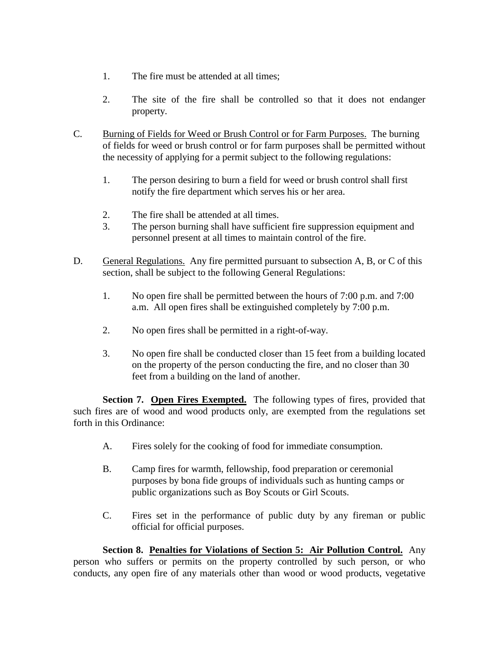- 1. The fire must be attended at all times;
- 2. The site of the fire shall be controlled so that it does not endanger property.
- C. Burning of Fields for Weed or Brush Control or for Farm Purposes. The burning of fields for weed or brush control or for farm purposes shall be permitted without the necessity of applying for a permit subject to the following regulations:
	- 1. The person desiring to burn a field for weed or brush control shall first notify the fire department which serves his or her area.
	- 2. The fire shall be attended at all times.
	- 3. The person burning shall have sufficient fire suppression equipment and personnel present at all times to maintain control of the fire.
- D. General Regulations. Any fire permitted pursuant to subsection A, B, or C of this section, shall be subject to the following General Regulations:
	- 1. No open fire shall be permitted between the hours of 7:00 p.m. and 7:00 a.m. All open fires shall be extinguished completely by 7:00 p.m.
	- 2. No open fires shall be permitted in a right-of-way.
	- 3. No open fire shall be conducted closer than 15 feet from a building located on the property of the person conducting the fire, and no closer than 30 feet from a building on the land of another.

**Section 7. Open Fires Exempted.** The following types of fires, provided that such fires are of wood and wood products only, are exempted from the regulations set forth in this Ordinance:

- A. Fires solely for the cooking of food for immediate consumption.
- B. Camp fires for warmth, fellowship, food preparation or ceremonial purposes by bona fide groups of individuals such as hunting camps or public organizations such as Boy Scouts or Girl Scouts.
- C. Fires set in the performance of public duty by any fireman or public official for official purposes.

**Section 8. Penalties for Violations of Section 5: Air Pollution Control.** Any person who suffers or permits on the property controlled by such person, or who conducts, any open fire of any materials other than wood or wood products, vegetative